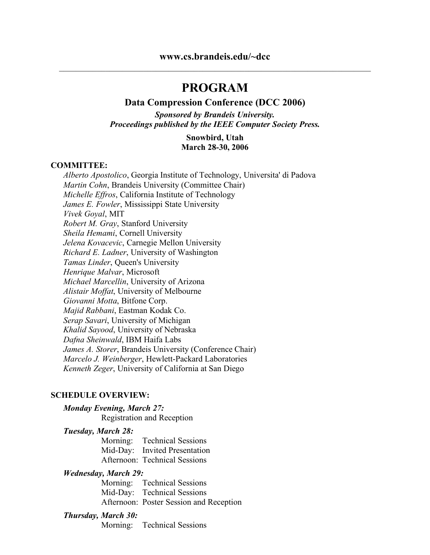# **PROGRAM**

#### **Data Compression Conference (DCC 2006)**

*Sponsored by Brandeis University. Proceedings published by the IEEE Computer Society Press.*

#### **Snowbird, Utah March 28-30, 2006**

#### **COMMITTEE:**

*Alberto Apostolico*, Georgia Institute of Technology, Universita' di Padova *Martin Cohn*, Brandeis University (Committee Chair) *Michelle Effros*, California Institute of Technology *James E. Fowler*, Mississippi State University *Vivek Goyal*, MIT *Robert M. Gray*, Stanford University *Sheila Hemami*, Cornell University *Jelena Kovacevic*, Carnegie Mellon University *Richard E. Ladner*, University of Washington *Tamas Linder*, Queen's University *Henrique Malvar*, Microsoft *Michael Marcellin*, University of Arizona *Alistair Moffat*, University of Melbourne *Giovanni Motta*, Bitfone Corp. *Majid Rabbani*, Eastman Kodak Co. *Serap Savari*, University of Michigan *Khalid Sayood*, University of Nebraska *Dafna Sheinwald*, IBM Haifa Labs *James A. Storer*, Brandeis University (Conference Chair) *Marcelo J. Weinberger*, Hewlett-Packard Laboratories *Kenneth Zeger*, University of California at San Diego

#### **SCHEDULE OVERVIEW:**

#### *Monday Evening, March 27:*

Registration and Reception

#### *Tuesday, March 28:*

Morning: Technical Sessions Mid-Day: Invited Presentation Afternoon: Technical Sessions

#### *Wednesday, March 29:*

Morning: Technical Sessions Mid-Day: Technical Sessions Afternoon: Poster Session and Reception

#### *Thursday, March 30:*

Morning: Technical Sessions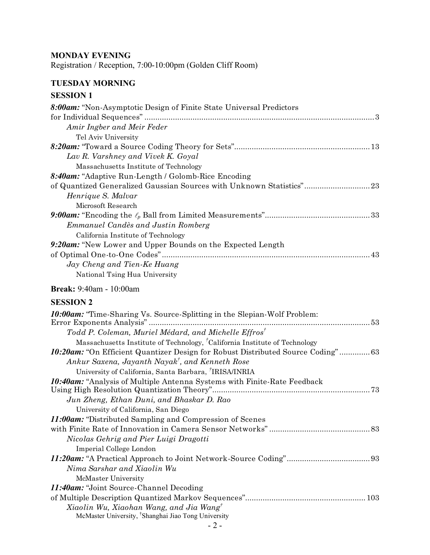### **MONDAY EVENING**

Registration / Reception, 7:00-10:00pm (Golden Cliff Room)

# **TUESDAY MORNING**

### **SESSION 1**

| 8:00am: "Non-Asymptotic Design of Finite State Universal Predictors"  |
|-----------------------------------------------------------------------|
|                                                                       |
| Amir Ingber and Meir Feder                                            |
| Tel Aviv University                                                   |
|                                                                       |
| Lav R. Varshney and Vivek K. Goyal                                    |
| Massachusetts Institute of Technology                                 |
| 8:40am: "Adaptive Run-Length / Golomb-Rice Encoding"                  |
| of Quantized Generalized Gaussian Sources with Unknown Statistics" 23 |
| Henrique S. Malvar                                                    |
| Microsoft Research                                                    |
|                                                                       |
| Emmanuel Candès and Justin Romberg                                    |
| California Institute of Technology                                    |
| 9:20am: "New Lower and Upper Bounds on the Expected Length            |
|                                                                       |
| Jay Cheng and Tien-Ke Huang                                           |
| National Tsing Hua University                                         |
| <b>Break:</b> 9:40am - 10:00am                                        |

| <b>10:00am:</b> "Time-Sharing Vs. Source-Splitting in the Slepian-Wolf Problem:                           |
|-----------------------------------------------------------------------------------------------------------|
|                                                                                                           |
| Todd P. Coleman, Muriel Médard, and Michelle Effros <sup>†</sup>                                          |
| Massachusetts Institute of Technology, <sup>†</sup> California Institute of Technology                    |
| 10:20am: "On Efficient Quantizer Design for Robust Distributed Source Coding" 63                          |
| Ankur Saxena, Jayanth Nayak <sup>†</sup> , and Kenneth Rose                                               |
| University of California, Santa Barbara, <sup>†</sup> IRISA/INRIA                                         |
| 10:40am: "Analysis of Multiple Antenna Systems with Finite-Rate Feedback                                  |
| Jun Zheng, Ethan Duni, and Bhaskar D. Rao                                                                 |
| University of California, San Diego                                                                       |
| <b>11:00am:</b> "Distributed Sampling and Compression of Scenes"                                          |
|                                                                                                           |
| Nicolas Gehrig and Pier Luigi Dragotti                                                                    |
| Imperial College London                                                                                   |
|                                                                                                           |
| Nima Sarshar and Xiaolin Wu                                                                               |
| McMaster University                                                                                       |
| 11:40am: "Joint Source-Channel Decoding"                                                                  |
|                                                                                                           |
| Xiaolin Wu, Xiaohan Wang, and Jia Wang<br>McMaster University, <sup>†</sup> Shanghai Jiao Tong University |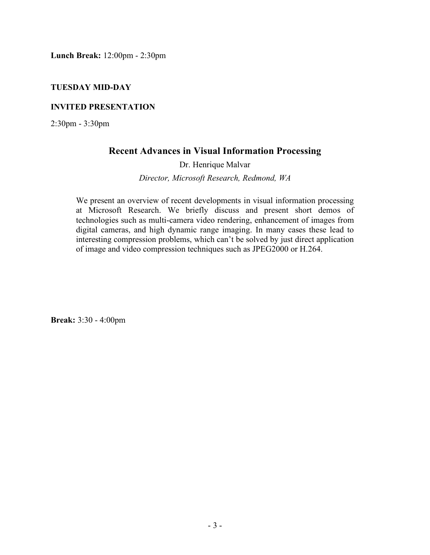**Lunch Break:** 12:00pm - 2:30pm

#### **TUESDAY MID-DAY**

#### **INVITED PRESENTATION**

2:30pm - 3:30pm

### **Recent Advances in Visual Information Processing**

Dr. Henrique Malvar

*Director, Microsoft Research, Redmond, WA*

We present an overview of recent developments in visual information processing at Microsoft Research. We briefly discuss and present short demos of technologies such as multi-camera video rendering, enhancement of images from digital cameras, and high dynamic range imaging. In many cases these lead to interesting compression problems, which can't be solved by just direct application of image and video compression techniques such as JPEG2000 or H.264.

**Break:** 3:30 - 4:00pm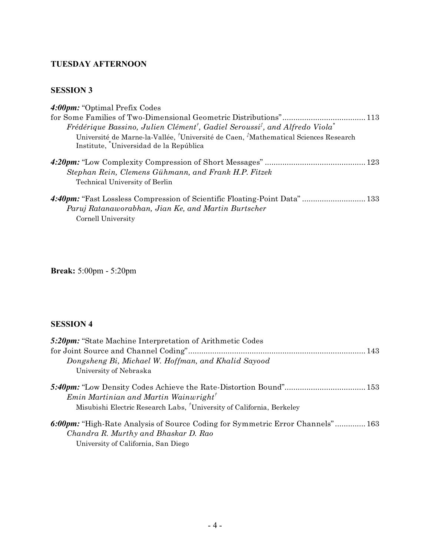# **TUESDAY AFTERNOON**

### **SESSION 3**

| 4:00pm: "Optimal Prefix Codes"                                                                                  |  |
|-----------------------------------------------------------------------------------------------------------------|--|
|                                                                                                                 |  |
| Frédérique Bassino, Julien Clément <sup>†</sup> , Gadiel Seroussi <sup>‡</sup> , and Alfredo Viola <sup>*</sup> |  |
| Université de Marne-la-Vallée, <sup>†</sup> Université de Caen, <sup>†</sup> Mathematical Sciences Research     |  |
| Institute, Universidad de la República                                                                          |  |
|                                                                                                                 |  |
| Stephan Rein, Clemens Gühmann, and Frank H.P. Fitzek                                                            |  |
| <b>Technical University of Berlin</b>                                                                           |  |
| 4:40pm: "Fast Lossless Compression of Scientific Floating-Point Data"  133                                      |  |
| Paruj Ratanaworabhan, Jian Ke, and Martin Burtscher                                                             |  |
| Cornell University                                                                                              |  |

**Break:** 5:00pm - 5:20pm

| 5:20pm: "State Machine Interpretation of Arithmetic Codes"                        |
|-----------------------------------------------------------------------------------|
|                                                                                   |
| Dongsheng Bi, Michael W. Hoffman, and Khalid Sayood                               |
| University of Nebraska                                                            |
|                                                                                   |
| $Emin$ Martinian and Martin Wainwright <sup>†</sup>                               |
| Misubishi Electric Research Labs, <sup>†</sup> University of California, Berkeley |
| 6:00pm: "High-Rate Analysis of Source Coding for Symmetric Error Channels" 163    |
| Chandra R. Murthy and Bhaskar D. Rao                                              |
| University of California, San Diego                                               |
|                                                                                   |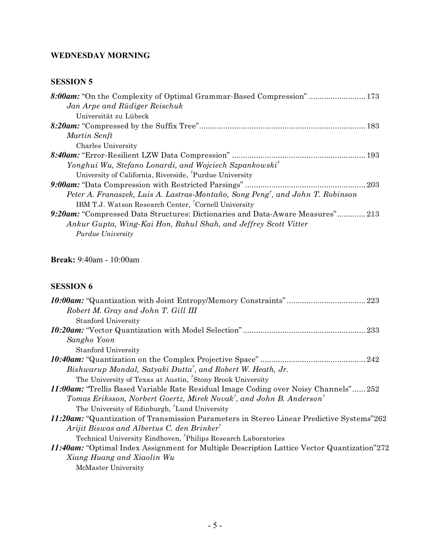# **WEDNESDAY MORNING**

### **SESSION 5**

| Jan Arpe and Rüdiger Reischuk                                                              |
|--------------------------------------------------------------------------------------------|
| Universität zu Lübeck                                                                      |
|                                                                                            |
| Martin Senft                                                                               |
| Charles University                                                                         |
|                                                                                            |
| Yonghui Wu, Stefano Lonardi, and Wojciech Szpankowski <sup>†</sup>                         |
| University of California, Riverside, <sup>†</sup> Purdue University                        |
|                                                                                            |
| Peter A. Franaszek, Luis A. Lastras-Montaño, Song Peng <sup>†</sup> , and John T. Robinson |
| IBM T.J. Watson Research Center, <sup>†</sup> Cornell University                           |
| 9:20am: "Compressed Data Structures: Dictionaries and Data-Aware Measures"213              |
| Ankur Gupta, Wing-Kai Hon, Rahul Shah, and Jeffrey Scott Vitter                            |
| <i>Purdue University</i>                                                                   |

# **Break:** 9:40am - 10:00am

| Robert M. Gray and John T. Gill III                                                                |
|----------------------------------------------------------------------------------------------------|
| <b>Stanford University</b>                                                                         |
|                                                                                                    |
| Sangho Yoon                                                                                        |
| <b>Stanford University</b>                                                                         |
|                                                                                                    |
| Bishwarup Mondal, Satyaki Dutta <sup>†</sup> , and Robert W. Heath, Jr.                            |
| The University of Texas at Austin, <sup><i>'</i></sup> Stony Brook University                      |
| 11:00am: "Trellis Based Variable Rate Residual Image Coding over Noisy Channels" 252               |
| Tomas Eriksson, Norbert Goertz, Mirek Novak <sup>†</sup> , and John B. Anderson <sup>†</sup>       |
| The University of Edinburgh, Lund University                                                       |
| 11:20am: "Quantization of Transmission Parameters in Stereo Linear Predictive Systems"262          |
| Arijit Biswas and Albertus C. den Brinker <sup>†</sup>                                             |
| Technical University Eindhoven, <sup><i>Philips Research Laboratories</i></sup>                    |
| <b>11:40am:</b> "Optimal Index Assignment for Multiple Description Lattice Vector Quantization"272 |
| Xiang Huang and Xiaolin Wu                                                                         |
| McMaster University                                                                                |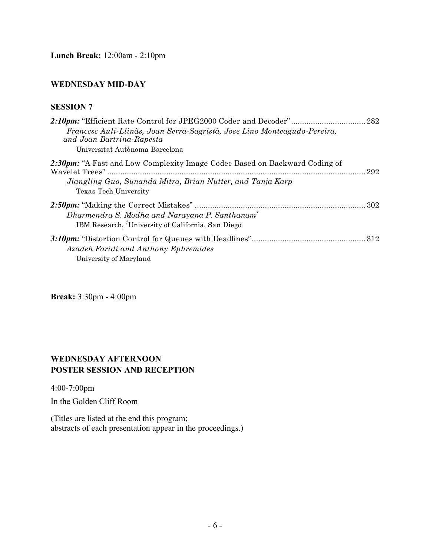**Lunch Break:** 12:00am - 2:10pm

#### **WEDNESDAY MID-DAY**

#### **SESSION 7**

| Francesc Aulí-Llinàs, Joan Serra-Sagristà, Jose Lino Monteagudo-Pereira,<br>and Joan Bartrina-Rapesta |     |
|-------------------------------------------------------------------------------------------------------|-----|
| Universitat Autònoma Barcelona                                                                        |     |
| 2:30pm: "A Fast and Low Complexity Image Codec Based on Backward Coding of                            | 292 |
| Jiangling Guo, Sunanda Mitra, Brian Nutter, and Tanja Karp<br>Texas Tech University                   |     |
| $Dharmendra S. Modha and Narayana P. Santhanam†$<br>IBM Research, University of California, San Diego |     |
| Azadeh Faridi and Anthony Ephremides<br>University of Maryland                                        | 312 |

**Break:** 3:30pm - 4:00pm

#### **WEDNESDAY AFTERNOON POSTER SESSION AND RECEPTION**

4:00-7:00pm

In the Golden Cliff Room

(Titles are listed at the end this program; abstracts of each presentation appear in the proceedings.)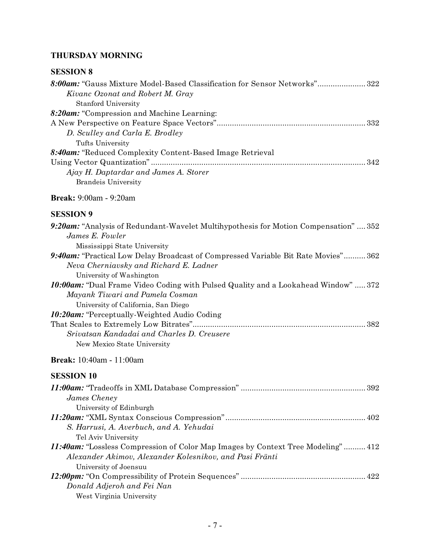# **THURSDAY MORNING**

| 8:00am: "Gauss Mixture Model-Based Classification for Sensor Networks" 322 |  |
|----------------------------------------------------------------------------|--|
| Kivanc Ozonat and Robert M. Gray                                           |  |
| <b>Stanford University</b>                                                 |  |
| 8:20am: "Compression and Machine Learning:                                 |  |
|                                                                            |  |
| D. Sculley and Carla E. Brodley                                            |  |
| Tufts University                                                           |  |
| <b>8:40am:</b> "Reduced Complexity Content-Based Image Retrieval           |  |
|                                                                            |  |
| Ajay H. Daptardar and James A. Storer                                      |  |
| <b>Brandeis University</b>                                                 |  |

# **Break:** 9:00am - 9:20am

### **SESSION 9**

| 9:20am: "Analysis of Redundant-Wavelet Multihypothesis for Motion Compensation"  352      |
|-------------------------------------------------------------------------------------------|
| <i>James E. Fowler</i>                                                                    |
| Mississippi State University                                                              |
| <b>9:40am:</b> "Practical Low Delay Broadcast of Compressed Variable Bit Rate Movies" 362 |
| Neva Cherniavsky and Richard E. Ladner                                                    |
| University of Washington                                                                  |
| <b>10:00am:</b> "Dual Frame Video Coding with Pulsed Quality and a Lookahead Window"  372 |
| Mayank Tiwari and Pamela Cosman                                                           |
| University of California, San Diego                                                       |
| 10:20am: "Perceptually-Weighted Audio Coding"                                             |
|                                                                                           |
| Srivatsan Kandadai and Charles D. Creusere                                                |
| New Mexico State University                                                               |

# **Break:** 10:40am - 11:00am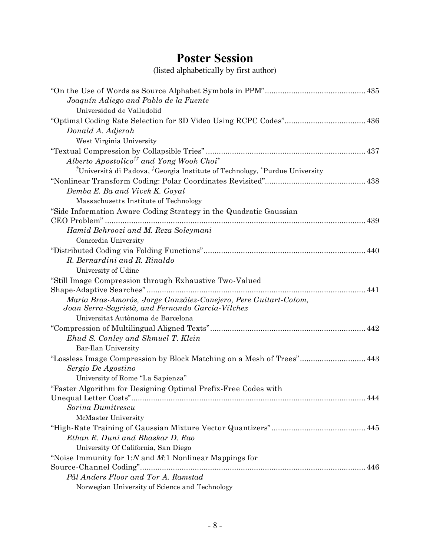# **Poster Session**

(listed alphabetically by first author)

| Joaquín Adiego and Pablo de la Fuente<br>Universidad de Valladolid                                                  |
|---------------------------------------------------------------------------------------------------------------------|
|                                                                                                                     |
| Donald A. Adjeroh                                                                                                   |
| West Virginia University                                                                                            |
|                                                                                                                     |
| Alberto Apostolico <sup>††</sup> and Yong Wook Choi <sup>*</sup>                                                    |
| <sup>†</sup> Università di Padova, <sup>†</sup> Georgia Institute of Technology, *Purdue University                 |
|                                                                                                                     |
| Demba E. Ba and Vivek K. Goyal                                                                                      |
| Massachusetts Institute of Technology                                                                               |
| "Side Information Aware Coding Strategy in the Quadratic Gaussian<br>CEO Problem"                                   |
| Hamid Behroozi and M. Reza Soleymani                                                                                |
| Concordia University                                                                                                |
|                                                                                                                     |
| R. Bernardini and R. Rinaldo                                                                                        |
| University of Udine                                                                                                 |
| "Still Image Compression through Exhaustive Two-Valued                                                              |
|                                                                                                                     |
| Maria Bras-Amorós, Jorge González-Conejero, Pere Guitart-Colom,<br>Joan Serra-Sagristà, and Fernando García-Vilchez |
| Universitat Autònoma de Barcelona                                                                                   |
|                                                                                                                     |
| Ehud S. Conley and Shmuel T. Klein                                                                                  |
| Bar-Ilan University                                                                                                 |
| "Lossless Image Compression by Block Matching on a Mesh of Trees" 443                                               |
| Sergio De Agostino                                                                                                  |
| University of Rome "La Sapienza"                                                                                    |
| "Faster Algorithm for Designing Optimal Prefix-Free Codes with                                                      |
| 444                                                                                                                 |
| Sorina Dumitrescu                                                                                                   |
| McMaster University                                                                                                 |
|                                                                                                                     |
| Ethan R. Duni and Bhaskar D. Rao                                                                                    |
| University Of California, San Diego                                                                                 |
| "Noise Immunity for $1:N$ and $M:1$ Nonlinear Mappings for                                                          |
|                                                                                                                     |
| Pål Anders Floor and Tor A. Ramstad                                                                                 |
| Norwegian University of Science and Technology                                                                      |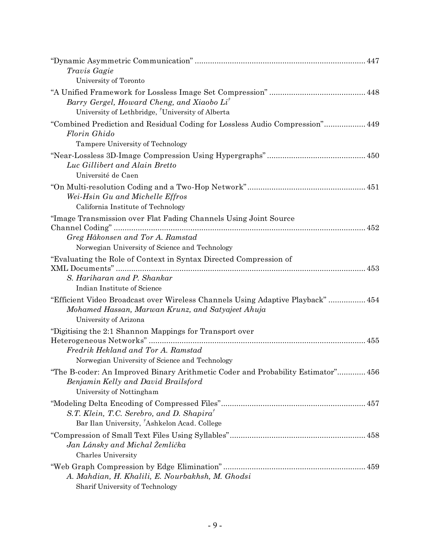| Travis Gagie                                                                                                                                                  |
|---------------------------------------------------------------------------------------------------------------------------------------------------------------|
| University of Toronto                                                                                                                                         |
| Barry Gergel, Howard Cheng, and Xiaobo Li <sup>†</sup><br>University of Lethbridge, University of Alberta                                                     |
| "Combined Prediction and Residual Coding for Lossless Audio Compression" 449<br>Florin Ghido                                                                  |
| Tampere University of Technology                                                                                                                              |
| Luc Gillibert and Alain Bretto<br>Université de Caen                                                                                                          |
| Wei-Hsin Gu and Michelle Effros<br>California Institute of Technology                                                                                         |
| "Image Transmission over Flat Fading Channels Using Joint Source                                                                                              |
| Greg Håkonsen and Tor A. Ramstad<br>Norwegian University of Science and Technology                                                                            |
| "Evaluating the Role of Context in Syntax Directed Compression of                                                                                             |
|                                                                                                                                                               |
| S. Hariharan and P. Shankar                                                                                                                                   |
| Indian Institute of Science                                                                                                                                   |
| "Efficient Video Broadcast over Wireless Channels Using Adaptive Playback"  454<br>Mohamed Hassan, Marwan Krunz, and Satyajeet Ahuja<br>University of Arizona |
| "Digitising the 2:1 Shannon Mappings for Transport over                                                                                                       |
|                                                                                                                                                               |
| Fredrik Hekland and Tor A. Ramstad                                                                                                                            |
| Norwegian University of Science and Technology                                                                                                                |
| "The B-coder: An Improved Binary Arithmetic Coder and Probability Estimator" 456<br>Benjamin Kelly and David Brailsford<br>University of Nottingham           |
|                                                                                                                                                               |
| S.T. Klein, T.C. Serebro, and D. Shapira <sup>†</sup><br>Bar Ilan University, <sup>†</sup> Ashkelon Acad. College                                             |
|                                                                                                                                                               |
| Jan Lánsky and Michal Žemlička                                                                                                                                |
| <b>Charles University</b>                                                                                                                                     |
|                                                                                                                                                               |
| A. Mahdian, H. Khalili, E. Nourbakhsh, M. Ghodsi<br>Sharif University of Technology                                                                           |